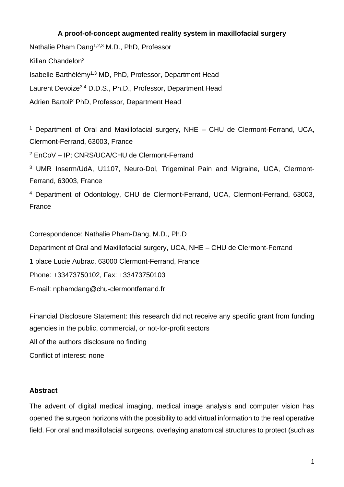# **A proof-of-concept augmented reality system in maxillofacial surgery**

Nathalie Pham Dang<sup>1,2,3</sup> M.D., PhD, Professor Kilian Chandelon<sup>2</sup> Isabelle Barthélémy1,3 MD, PhD, Professor, Department Head Laurent Devoize3,4 D.D.S., Ph.D., Professor, Department Head Adrien Bartoli<sup>2</sup> PhD, Professor, Department Head

<sup>1</sup> Department of Oral and Maxillofacial surgery, NHE – CHU de Clermont-Ferrand, UCA, Clermont-Ferrand, 63003, France

<sup>2</sup> EnCoV – IP; CNRS/UCA/CHU de Clermont-Ferrand

<sup>3</sup> UMR Inserm/UdA, U1107, Neuro-Dol, Trigeminal Pain and Migraine, UCA, Clermont-Ferrand, 63003, France

<sup>4</sup> Department of Odontology, CHU de Clermont-Ferrand, UCA, Clermont-Ferrand, 63003, France

Correspondence: Nathalie Pham-Dang, M.D., Ph.D

Department of Oral and Maxillofacial surgery, UCA, NHE – CHU de Clermont-Ferrand

1 place Lucie Aubrac, 63000 Clermont-Ferrand, France

Phone: +33473750102, Fax: +33473750103

E-mail: nphamdang@chu-clermontferrand.fr

Financial Disclosure Statement: this research did not receive any specific grant from funding agencies in the public, commercial, or not-for-profit sectors

All of the authors disclosure no finding

Conflict of interest: none

### **Abstract**

The advent of digital medical imaging, medical image analysis and computer vision has opened the surgeon horizons with the possibility to add virtual information to the real operative field. For oral and maxillofacial surgeons, overlaying anatomical structures to protect (such as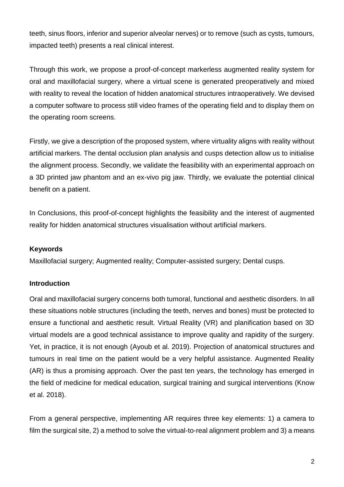teeth, sinus floors, inferior and superior alveolar nerves) or to remove (such as cysts, tumours, impacted teeth) presents a real clinical interest.

Through this work, we propose a proof-of-concept markerless augmented reality system for oral and maxillofacial surgery, where a virtual scene is generated preoperatively and mixed with reality to reveal the location of hidden anatomical structures intraoperatively. We devised a computer software to process still video frames of the operating field and to display them on the operating room screens.

Firstly, we give a description of the proposed system, where virtuality aligns with reality without artificial markers. The dental occlusion plan analysis and cusps detection allow us to initialise the alignment process. Secondly, we validate the feasibility with an experimental approach on a 3D printed jaw phantom and an ex-vivo pig jaw. Thirdly, we evaluate the potential clinical benefit on a patient.

In Conclusions, this proof-of-concept highlights the feasibility and the interest of augmented reality for hidden anatomical structures visualisation without artificial markers.

## **Keywords**

Maxillofacial surgery; Augmented reality; Computer-assisted surgery; Dental cusps.

## **Introduction**

Oral and maxillofacial surgery concerns both tumoral, functional and aesthetic disorders. In all these situations noble structures (including the teeth, nerves and bones) must be protected to ensure a functional and aesthetic result. Virtual Reality (VR) and planification based on 3D virtual models are a good technical assistance to improve quality and rapidity of the surgery. Yet, in practice, it is not enough (Ayoub et al. 2019). Projection of anatomical structures and tumours in real time on the patient would be a very helpful assistance. Augmented Reality (AR) is thus a promising approach. Over the past ten years, the technology has emerged in the field of medicine for medical education, surgical training and surgical interventions (Know et al. 2018).

From a general perspective, implementing AR requires three key elements: 1) a camera to film the surgical site, 2) a method to solve the virtual-to-real alignment problem and 3) a means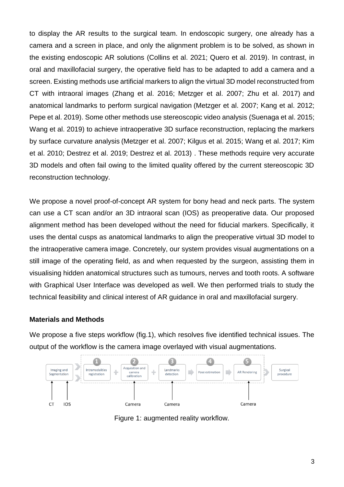to display the AR results to the surgical team. In endoscopic surgery, one already has a camera and a screen in place, and only the alignment problem is to be solved, as shown in the existing endoscopic AR solutions (Collins et al. 2021; Quero et al. 2019). In contrast, in oral and maxillofacial surgery, the operative field has to be adapted to add a camera and a screen. Existing methods use artificial markers to align the virtual 3D model reconstructed from CT with intraoral images (Zhang et al. 2016; Metzger et al. 2007; Zhu et al. 2017) and anatomical landmarks to perform surgical navigation (Metzger et al. 2007; Kang et al. 2012; Pepe et al. 2019). Some other methods use stereoscopic video analysis (Suenaga et al. 2015; Wang et al. 2019) to achieve intraoperative 3D surface reconstruction, replacing the markers by surface curvature analysis (Metzger et al. 2007; Kilgus et al. 2015; Wang et al. 2017; Kim et al. 2010; Destrez et al. 2019; Destrez et al. 2013) . These methods require very accurate 3D models and often fail owing to the limited quality offered by the current stereoscopic 3D reconstruction technology.

We propose a novel proof-of-concept AR system for bony head and neck parts. The system can use a CT scan and/or an 3D intraoral scan (IOS) as preoperative data. Our proposed alignment method has been developed without the need for fiducial markers. Specifically, it uses the dental cusps as anatomical landmarks to align the preoperative virtual 3D model to the intraoperative camera image. Concretely, our system provides visual augmentations on a still image of the operating field, as and when requested by the surgeon, assisting them in visualising hidden anatomical structures such as tumours, nerves and tooth roots. A software with Graphical User Interface was developed as well. We then performed trials to study the technical feasibility and clinical interest of AR guidance in oral and maxillofacial surgery.

## **Materials and Methods**

We propose a five steps workflow (fig.1), which resolves five identified technical issues. The output of the workflow is the camera image overlayed with visual augmentations.



Figure 1: augmented reality workflow.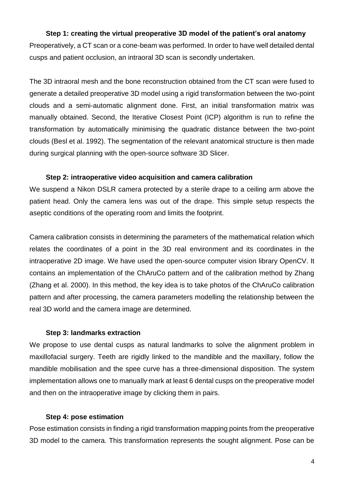### **Step 1: creating the virtual preoperative 3D model of the patient's oral anatomy**

Preoperatively, a CT scan or a cone-beam was performed. In order to have well detailed dental cusps and patient occlusion, an intraoral 3D scan is secondly undertaken.

The 3D intraoral mesh and the bone reconstruction obtained from the CT scan were fused to generate a detailed preoperative 3D model using a rigid transformation between the two-point clouds and a semi-automatic alignment done. First, an initial transformation matrix was manually obtained. Second, the Iterative Closest Point (ICP) algorithm is run to refine the transformation by automatically minimising the quadratic distance between the two-point clouds (Besl et al. 1992). The segmentation of the relevant anatomical structure is then made during surgical planning with the open-source software 3D Slicer.

## **Step 2: intraoperative video acquisition and camera calibration**

We suspend a Nikon DSLR camera protected by a sterile drape to a ceiling arm above the patient head. Only the camera lens was out of the drape. This simple setup respects the aseptic conditions of the operating room and limits the footprint.

Camera calibration consists in determining the parameters of the mathematical relation which relates the coordinates of a point in the 3D real environment and its coordinates in the intraoperative 2D image. We have used the open-source computer vision library OpenCV. It contains an implementation of the ChAruCo pattern and of the calibration method by Zhang (Zhang et al. 2000). In this method, the key idea is to take photos of the ChAruCo calibration pattern and after processing, the camera parameters modelling the relationship between the real 3D world and the camera image are determined.

### **Step 3: landmarks extraction**

We propose to use dental cusps as natural landmarks to solve the alignment problem in maxillofacial surgery. Teeth are rigidly linked to the mandible and the maxillary, follow the mandible mobilisation and the spee curve has a three-dimensional disposition. The system implementation allows one to manually mark at least 6 dental cusps on the preoperative model and then on the intraoperative image by clicking them in pairs.

## **Step 4: pose estimation**

Pose estimation consists in finding a rigid transformation mapping points from the preoperative 3D model to the camera. This transformation represents the sought alignment. Pose can be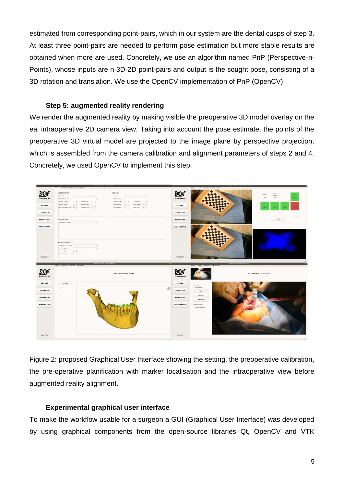estimated from corresponding point-pairs, which in our system are the dental cusps of step 3. At least three point-pairs are needed to perform pose estimation but more stable results are obtained when more are used. Concretely, we use an algorithm named PnP (Perspective-n-Points), whose inputs are n 3D-2D point-pairs and output is the sought pose, consisting of a 3D rotation and translation. We use the OpenCV implementation of PnP (OpenCV).

## **Step 5: augmented reality rendering**

We render the augmented reality by making visible the preoperative 3D model overlay on the eal intraoperative 2D camera view. Taking into account the pose estimate, the points of the preoperative 3D virtual model are projected to the image plane by perspective projection, which is assembled from the camera calibration and alignment parameters of steps 2 and 4. Concretely, we used OpenCV to implement this step.



Figure 2: proposed Graphical User Interface showing the setting, the preoperative calibration, the pre-operative planification with marker localisation and the intraoperative view before augmented reality alignment.

## **Experimental graphical user interface**

To make the workflow usable for a surgeon a GUI (Graphical User Interface) was developed by using graphical components from the open-source libraries Qt, OpenCV and VTK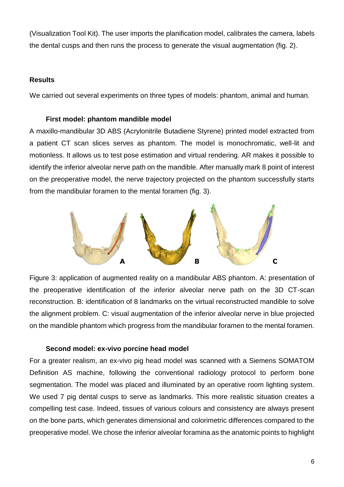(Visualization Tool Kit). The user imports the planification model, calibrates the camera, labels the dental cusps and then runs the process to generate the visual augmentation (fig. 2).

## **Results**

We carried out several experiments on three types of models: phantom, animal and human.

### **First model: phantom mandible model**

A maxillo-mandibular 3D ABS (Acrylonitrile Butadiene Styrene) printed model extracted from a patient CT scan slices serves as phantom. The model is monochromatic, well-lit and motionless. It allows us to test pose estimation and virtual rendering. AR makes it possible to identify the inferior alveolar nerve path on the mandible. After manually mark 8 point of interest on the preoperative model, the nerve trajectory projected on the phantom successfully starts from the mandibular foramen to the mental foramen (fig. 3).



Figure 3: application of augmented reality on a mandibular ABS phantom. A: presentation of the preoperative identification of the inferior alveolar nerve path on the 3D CT-scan reconstruction. B: identification of 8 landmarks on the virtual reconstructed mandible to solve the alignment problem. C: visual augmentation of the inferior alveolar nerve in blue projected on the mandible phantom which progress from the mandibular foramen to the mental foramen.

## **Second model: ex-vivo porcine head model**

For a greater realism, an ex-vivo pig head model was scanned with a Siemens SOMATOM Definition AS machine, following the conventional radiology protocol to perform bone segmentation. The model was placed and illuminated by an operative room lighting system. We used 7 pig dental cusps to serve as landmarks. This more realistic situation creates a compelling test case. Indeed, tissues of various colours and consistency are always present on the bone parts, which generates dimensional and colorimetric differences compared to the preoperative model. We chose the inferior alveolar foramina as the anatomic points to highlight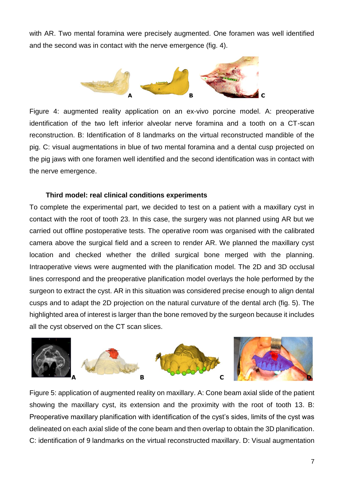with AR. Two mental foramina were precisely augmented. One foramen was well identified and the second was in contact with the nerve emergence (fig. 4).



Figure 4: augmented reality application on an ex-vivo porcine model. A: preoperative identification of the two left inferior alveolar nerve foramina and a tooth on a CT-scan reconstruction. B: Identification of 8 landmarks on the virtual reconstructed mandible of the pig. C: visual augmentations in blue of two mental foramina and a dental cusp projected on the pig jaws with one foramen well identified and the second identification was in contact with the nerve emergence.

## **Third model: real clinical conditions experiments**

To complete the experimental part, we decided to test on a patient with a maxillary cyst in contact with the root of tooth 23. In this case, the surgery was not planned using AR but we carried out offline postoperative tests. The operative room was organised with the calibrated camera above the surgical field and a screen to render AR. We planned the maxillary cyst location and checked whether the drilled surgical bone merged with the planning. Intraoperative views were augmented with the planification model. The 2D and 3D occlusal lines correspond and the preoperative planification model overlays the hole performed by the surgeon to extract the cyst. AR in this situation was considered precise enough to align dental cusps and to adapt the 2D projection on the natural curvature of the dental arch (fig. 5). The highlighted area of interest is larger than the bone removed by the surgeon because it includes all the cyst observed on the CT scan slices.



Figure 5: application of augmented reality on maxillary. A: Cone beam axial slide of the patient showing the maxillary cyst, its extension and the proximity with the root of tooth 13. B: Preoperative maxillary planification with identification of the cyst's sides, limits of the cyst was delineated on each axial slide of the cone beam and then overlap to obtain the 3D planification. C: identification of 9 landmarks on the virtual reconstructed maxillary. D: Visual augmentation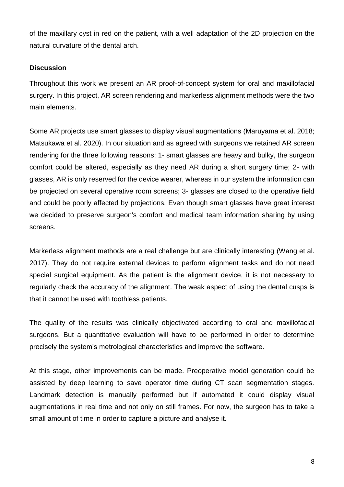of the maxillary cyst in red on the patient, with a well adaptation of the 2D projection on the natural curvature of the dental arch.

## **Discussion**

Throughout this work we present an AR proof-of-concept system for oral and maxillofacial surgery. In this project, AR screen rendering and markerless alignment methods were the two main elements.

Some AR projects use smart glasses to display visual augmentations (Maruyama et al. 2018; Matsukawa et al. 2020). In our situation and as agreed with surgeons we retained AR screen rendering for the three following reasons: 1- smart glasses are heavy and bulky, the surgeon comfort could be altered, especially as they need AR during a short surgery time; 2- with glasses, AR is only reserved for the device wearer, whereas in our system the information can be projected on several operative room screens; 3- glasses are closed to the operative field and could be poorly affected by projections. Even though smart glasses have great interest we decided to preserve surgeon's comfort and medical team information sharing by using screens.

Markerless alignment methods are a real challenge but are clinically interesting (Wang et al. 2017). They do not require external devices to perform alignment tasks and do not need special surgical equipment. As the patient is the alignment device, it is not necessary to regularly check the accuracy of the alignment. The weak aspect of using the dental cusps is that it cannot be used with toothless patients.

The quality of the results was clinically objectivated according to oral and maxillofacial surgeons. But a quantitative evaluation will have to be performed in order to determine precisely the system's metrological characteristics and improve the software.

At this stage, other improvements can be made. Preoperative model generation could be assisted by deep learning to save operator time during CT scan segmentation stages. Landmark detection is manually performed but if automated it could display visual augmentations in real time and not only on still frames. For now, the surgeon has to take a small amount of time in order to capture a picture and analyse it.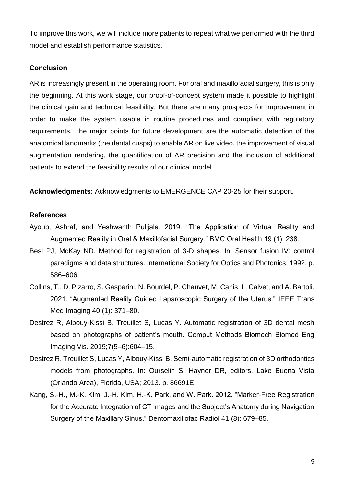To improve this work, we will include more patients to repeat what we performed with the third model and establish performance statistics.

#### **Conclusion**

AR is increasingly present in the operating room. For oral and maxillofacial surgery, this is only the beginning. At this work stage, our proof-of-concept system made it possible to highlight the clinical gain and technical feasibility. But there are many prospects for improvement in order to make the system usable in routine procedures and compliant with regulatory requirements. The major points for future development are the automatic detection of the anatomical landmarks (the dental cusps) to enable AR on live video, the improvement of visual augmentation rendering, the quantification of AR precision and the inclusion of additional patients to extend the feasibility results of our clinical model.

**Acknowledgments:** Acknowledgments to EMERGENCE CAP 20-25 for their support.

#### **References**

- Ayoub, Ashraf, and Yeshwanth Pulijala. 2019. "The Application of Virtual Reality and Augmented Reality in Oral & Maxillofacial Surgery." BMC Oral Health 19 (1): 238.
- Besl PJ, McKay ND. Method for registration of 3-D shapes. In: Sensor fusion IV: control paradigms and data structures. International Society for Optics and Photonics; 1992. p. 586–606.
- Collins, T., D. Pizarro, S. Gasparini, N. Bourdel, P. Chauvet, M. Canis, L. Calvet, and A. Bartoli. 2021. "Augmented Reality Guided Laparoscopic Surgery of the Uterus." IEEE Trans Med Imaging 40 (1): 371–80.
- Destrez R, Albouy-Kissi B, Treuillet S, Lucas Y. Automatic registration of 3D dental mesh based on photographs of patient's mouth. Comput Methods Biomech Biomed Eng Imaging Vis. 2019;7(5–6):604–15.
- Destrez R, Treuillet S, Lucas Y, Albouy-Kissi B. Semi-automatic registration of 3D orthodontics models from photographs. In: Ourselin S, Haynor DR, editors. Lake Buena Vista (Orlando Area), Florida, USA; 2013. p. 86691E.
- Kang, S.-H., M.-K. Kim, J.-H. Kim, H.-K. Park, and W. Park. 2012. "Marker-Free Registration for the Accurate Integration of CT Images and the Subject's Anatomy during Navigation Surgery of the Maxillary Sinus." Dentomaxillofac Radiol 41 (8): 679–85.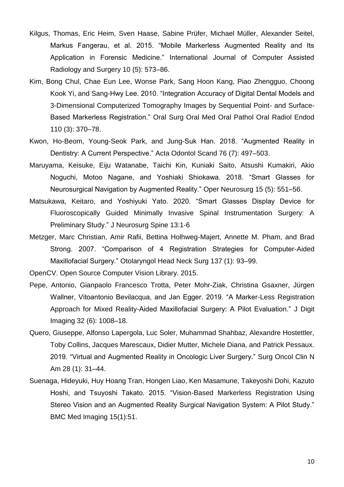- Kilgus, Thomas, Eric Heim, Sven Haase, Sabine Prüfer, Michael Müller, Alexander Seitel, Markus Fangerau, et al. 2015. "Mobile Markerless Augmented Reality and Its Application in Forensic Medicine." International Journal of Computer Assisted Radiology and Surgery 10 (5): 573–86.
- Kim, Bong Chul, Chae Eun Lee, Wonse Park, Sang Hoon Kang, Piao Zhengguo, Choong Kook Yi, and Sang-Hwy Lee. 2010. "Integration Accuracy of Digital Dental Models and 3-Dimensional Computerized Tomography Images by Sequential Point- and Surface-Based Markerless Registration." Oral Surg Oral Med Oral Pathol Oral Radiol Endod 110 (3): 370–78.
- Kwon, Ho-Beom, Young-Seok Park, and Jung-Suk Han. 2018. "Augmented Reality in Dentistry: A Current Perspective." Acta Odontol Scand 76 (7): 497–503.
- Maruyama, Keisuke, Eiju Watanabe, Taichi Kin, Kuniaki Saito, Atsushi Kumakiri, Akio Noguchi, Motoo Nagane, and Yoshiaki Shiokawa. 2018. "Smart Glasses for Neurosurgical Navigation by Augmented Reality." Oper Neurosurg 15 (5): 551–56.
- Matsukawa, Keitaro, and Yoshiyuki Yato. 2020. "Smart Glasses Display Device for Fluoroscopically Guided Minimally Invasive Spinal Instrumentation Surgery: A Preliminary Study." J Neurosurg Spine 13:1-6
- Metzger, Marc Christian, Amir Rafii, Bettina Holhweg-Majert, Annette M. Pham, and Brad Strong. 2007. "Comparison of 4 Registration Strategies for Computer-Aided Maxillofacial Surgery." Otolaryngol Head Neck Surg 137 (1): 93–99.

OpenCV. Open Source Computer Vision Library. 2015.

- Pepe, Antonio, Gianpaolo Francesco Trotta, Peter Mohr-Ziak, Christina Gsaxner, Jürgen Wallner, Vitoantonio Bevilacqua, and Jan Egger. 2019. "A Marker-Less Registration Approach for Mixed Reality-Aided Maxillofacial Surgery: A Pilot Evaluation." J Digit Imaging 32 (6): 1008–18.
- Quero, Giuseppe, Alfonso Lapergola, Luc Soler, Muhammad Shahbaz, Alexandre Hostettler, Toby Collins, Jacques Marescaux, Didier Mutter, Michele Diana, and Patrick Pessaux. 2019. "Virtual and Augmented Reality in Oncologic Liver Surgery." Surg Oncol Clin N Am 28 (1): 31–44.
- Suenaga, Hideyuki, Huy Hoang Tran, Hongen Liao, Ken Masamune, Takeyoshi Dohi, Kazuto Hoshi, and Tsuyoshi Takato. 2015. "Vision-Based Markerless Registration Using Stereo Vision and an Augmented Reality Surgical Navigation System: A Pilot Study." BMC Med Imaging 15(1):51.